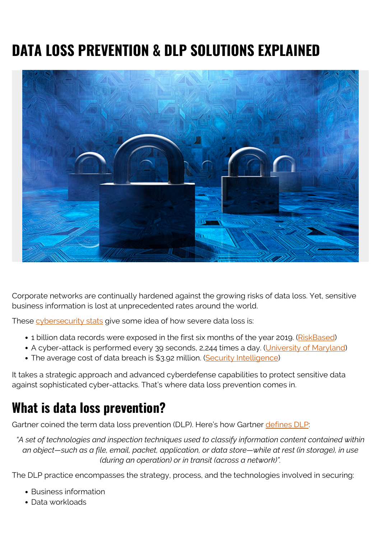# **DATA LOSS PREVENTION & DLP SOLUTIONS EXPLAINED**



Corporate networks are continually hardened against the growing risks of data loss. Yet, sensitive business information is lost at unprecedented rates around the world.

These [cybersecurity stats](https://blogs.bmc.com/blogs/cybersecurity/) give some idea of how severe data loss is:

- 1 billion data records were exposed in the first six months of the year 2019. ([RiskBased](https://pages.riskbasedsecurity.com/2019-midyear-data-breach-quickview-report))
- A cyber-attack is performed every 39 seconds, 2,244 times a day. [\(University of Maryland\)](https://eng.umd.edu/news/story/study-hackers-attack-every-39-seconds)
- The average cost of data breach is \$3.92 million. [\(Security Intelligence\)](https://securityintelligence.com/posts/whats-new-in-the-2019-cost-of-a-data-breach-report/)

It takes a strategic approach and advanced cyberdefense capabilities to protect sensitive data against sophisticated cyber-attacks. That's where data loss prevention comes in.

### **What is data loss prevention?**

Gartner coined the term data loss prevention (DLP). Here's how Gartner [defines DLP](https://www.gartner.com/en/information-technology/glossary/data-loss-protection-dlp):

*"A set of technologies and inspection techniques used to classify information content contained within an object—such as a file, email, packet, application, or data store—while at rest (in storage), in use (during an operation) or in transit (across a network)".*

The DLP practice encompasses the strategy, process, and the technologies involved in securing:

- Business information
- Data workloads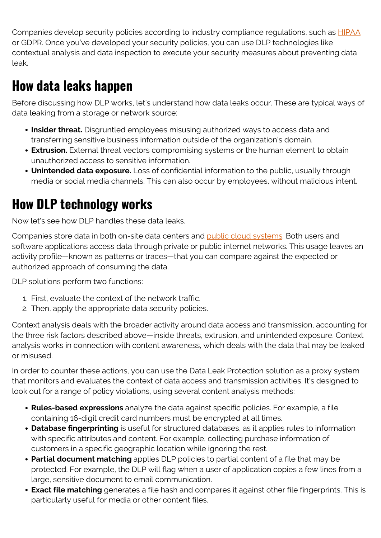Companies develop security policies according to industry compliance regulations, such as **HIPAA** or GDPR. Once you've developed your security policies, you can use DLP technologies like contextual analysis and data inspection to execute your security measures about preventing data leak.

## **How data leaks happen**

Before discussing how DLP works, let's understand how data leaks occur. These are typical ways of data leaking from a storage or network source:

- **Insider threat.** Disgruntled employees misusing authorized ways to access data and transferring sensitive business information outside of the organization's domain.
- **Extrusion.** External threat vectors compromising systems or the human element to obtain unauthorized access to sensitive information.
- **Unintended data exposure.** Loss of confidential information to the public, usually through media or social media channels. This can also occur by employees, without malicious intent.

## **How DLP technology works**

Now let's see how DLP handles these data leaks.

Companies store data in both on-site data centers and [public cloud systems](https://blogs.bmc.com/blogs/public-private-hybrid-cloud). Both users and software applications access data through private or public internet networks. This usage leaves an activity profile—known as patterns or traces—that you can compare against the expected or authorized approach of consuming the data.

DLP solutions perform two functions:

- 1. First, evaluate the context of the network traffic.
- 2. Then, apply the appropriate data security policies.

Context analysis deals with the broader activity around data access and transmission, accounting for the three risk factors described above—inside threats, extrusion, and unintended exposure. Context analysis works in connection with content awareness, which deals with the data that may be leaked or misused.

In order to counter these actions, you can use the Data Leak Protection solution as a proxy system that monitors and evaluates the context of data access and transmission activities. It's designed to look out for a range of policy violations, using several content analysis methods:

- **Rules-based expressions** analyze the data against specific policies. For example, a file containing 16-digit credit card numbers must be encrypted at all times.
- **Database fingerprinting** is useful for structured databases, as it applies rules to information with specific attributes and content. For example, collecting purchase information of customers in a specific geographic location while ignoring the rest.
- **Partial document matching** applies DLP policies to partial content of a file that may be protected. For example, the DLP will flag when a user of application copies a few lines from a large, sensitive document to email communication.
- **Exact file matching** generates a file hash and compares it against other file fingerprints. This is particularly useful for media or other content files.